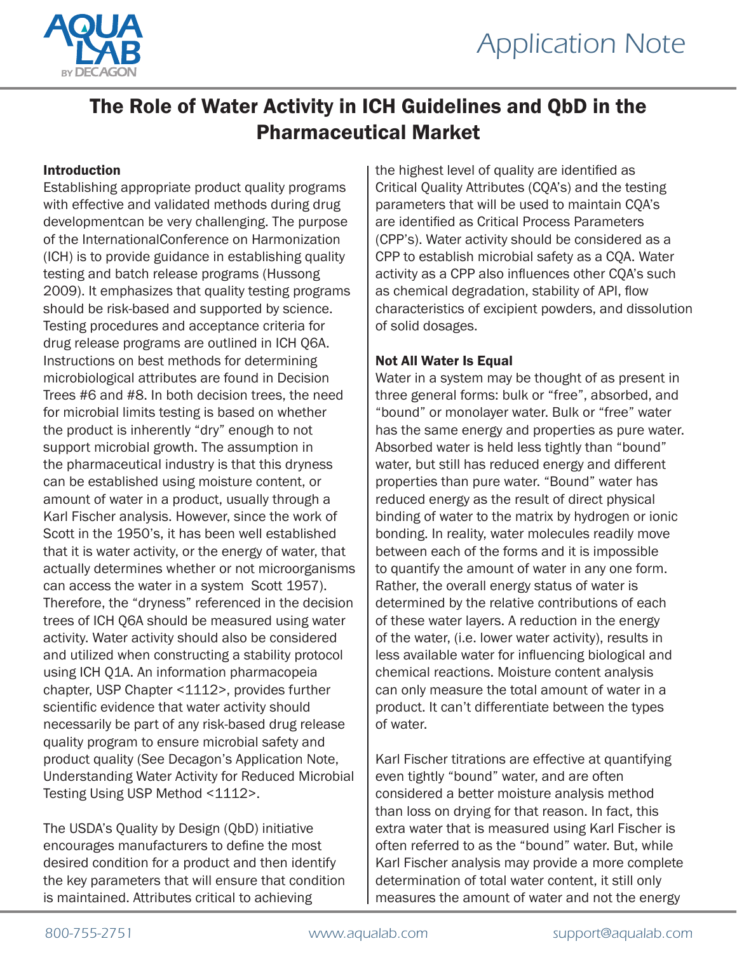



# The Role of Water Activity in ICH Guidelines and QbD in the Pharmaceutical Market

## Introduction

Establishing appropriate product quality programs with effective and validated methods during drug developmentcan be very challenging. The purpose of the InternationalConference on Harmonization (ICH) is to provide guidance in establishing quality testing and batch release programs (Hussong 2009). It emphasizes that quality testing programs should be risk-based and supported by science. Testing procedures and acceptance criteria for drug release programs are outlined in ICH Q6A. Instructions on best methods for determining microbiological attributes are found in Decision Trees #6 and #8. In both decision trees, the need for microbial limits testing is based on whether the product is inherently "dry" enough to not support microbial growth. The assumption in the pharmaceutical industry is that this dryness can be established using moisture content, or amount of water in a product, usually through a Karl Fischer analysis. However, since the work of Scott in the 1950's, it has been well established that it is water activity, or the energy of water, that actually determines whether or not microorganisms can access the water in a system Scott 1957). Therefore, the "dryness" referenced in the decision trees of ICH Q6A should be measured using water activity. Water activity should also be considered and utilized when constructing a stability protocol using ICH Q1A. An information pharmacopeia chapter, USP Chapter <1112>, provides further scientific evidence that water activity should necessarily be part of any risk-based drug release quality program to ensure microbial safety and product quality (See Decagon's Application Note, Understanding Water Activity for Reduced Microbial Testing Using USP Method <1112>.

The USDA's Quality by Design (QbD) initiative encourages manufacturers to define the most desired condition for a product and then identify the key parameters that will ensure that condition is maintained. Attributes critical to achieving

the highest level of quality are identified as Critical Quality Attributes (CQA's) and the testing parameters that will be used to maintain CQA's are identified as Critical Process Parameters (CPP's). Water activity should be considered as a CPP to establish microbial safety as a CQA. Water activity as a CPP also influences other CQA's such as chemical degradation, stability of API, flow characteristics of excipient powders, and dissolution of solid dosages.

### Not All Water Is Equal

Water in a system may be thought of as present in three general forms: bulk or "free", absorbed, and "bound" or monolayer water. Bulk or "free" water has the same energy and properties as pure water. Absorbed water is held less tightly than "bound" water, but still has reduced energy and different properties than pure water. "Bound" water has reduced energy as the result of direct physical binding of water to the matrix by hydrogen or ionic bonding. In reality, water molecules readily move between each of the forms and it is impossible to quantify the amount of water in any one form. Rather, the overall energy status of water is determined by the relative contributions of each of these water layers. A reduction in the energy of the water, (i.e. lower water activity), results in less available water for influencing biological and chemical reactions. Moisture content analysis can only measure the total amount of water in a product. It can't differentiate between the types of water.

Karl Fischer titrations are effective at quantifying even tightly "bound" water, and are often considered a better moisture analysis method than loss on drying for that reason. In fact, this extra water that is measured using Karl Fischer is often referred to as the "bound" water. But, while Karl Fischer analysis may provide a more complete determination of total water content, it still only measures the amount of water and not the energy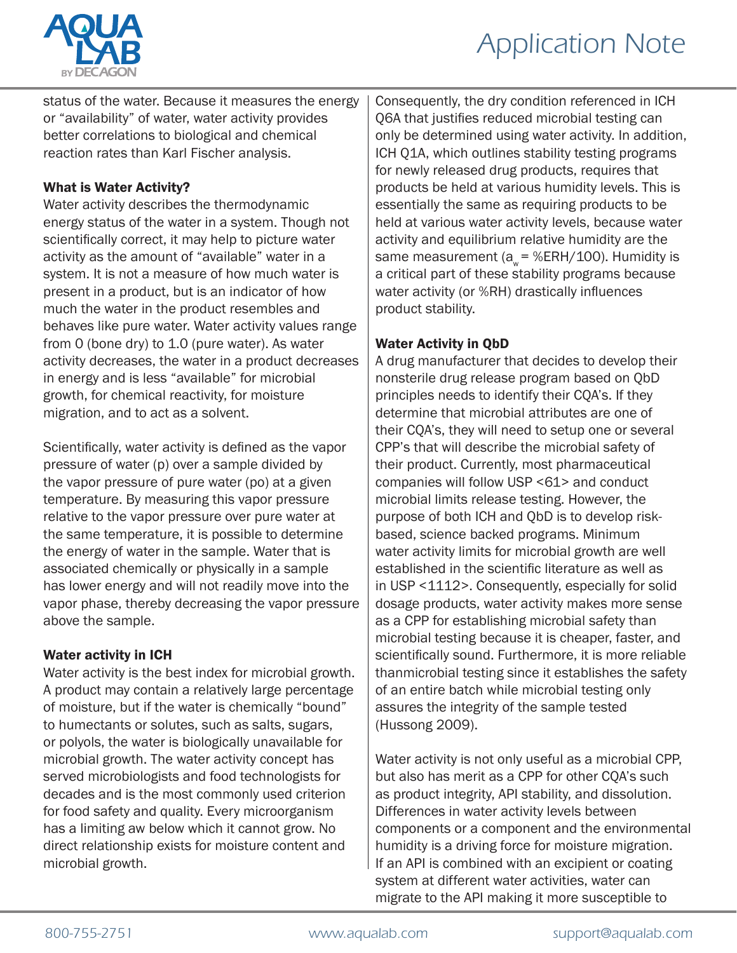

# *Application Note*

status of the water. Because it measures the energy or "availability" of water, water activity provides better correlations to biological and chemical reaction rates than Karl Fischer analysis.

## What is Water Activity?

Water activity describes the thermodynamic energy status of the water in a system. Though not scientifically correct, it may help to picture water activity as the amount of "available" water in a system. It is not a measure of how much water is present in a product, but is an indicator of how much the water in the product resembles and behaves like pure water. Water activity values range from 0 (bone dry) to 1.0 (pure water). As water activity decreases, the water in a product decreases in energy and is less "available" for microbial growth, for chemical reactivity, for moisture migration, and to act as a solvent.

Scientifically, water activity is defined as the vapor pressure of water (p) over a sample divided by the vapor pressure of pure water (po) at a given temperature. By measuring this vapor pressure relative to the vapor pressure over pure water at the same temperature, it is possible to determine the energy of water in the sample. Water that is associated chemically or physically in a sample has lower energy and will not readily move into the vapor phase, thereby decreasing the vapor pressure above the sample.

# Water activity in ICH

Water activity is the best index for microbial growth. A product may contain a relatively large percentage of moisture, but if the water is chemically "bound" to humectants or solutes, such as salts, sugars, or polyols, the water is biologically unavailable for microbial growth. The water activity concept has served microbiologists and food technologists for decades and is the most commonly used criterion for food safety and quality. Every microorganism has a limiting aw below which it cannot grow. No direct relationship exists for moisture content and microbial growth.

Consequently, the dry condition referenced in ICH Q6A that justifies reduced microbial testing can only be determined using water activity. In addition, ICH Q1A, which outlines stability testing programs for newly released drug products, requires that products be held at various humidity levels. This is essentially the same as requiring products to be held at various water activity levels, because water activity and equilibrium relative humidity are the same measurement ( $a_w = %ERH/100$ ). Humidity is a critical part of these stability programs because water activity (or %RH) drastically influences product stability.

# Water Activity in QbD

A drug manufacturer that decides to develop their nonsterile drug release program based on QbD principles needs to identify their CQA's. If they determine that microbial attributes are one of their CQA's, they will need to setup one or several CPP's that will describe the microbial safety of their product. Currently, most pharmaceutical companies will follow USP <61> and conduct microbial limits release testing. However, the purpose of both ICH and QbD is to develop riskbased, science backed programs. Minimum water activity limits for microbial growth are well established in the scientific literature as well as in USP <1112>. Consequently, especially for solid dosage products, water activity makes more sense as a CPP for establishing microbial safety than microbial testing because it is cheaper, faster, and scientifically sound. Furthermore, it is more reliable thanmicrobial testing since it establishes the safety of an entire batch while microbial testing only assures the integrity of the sample tested (Hussong 2009).

Water activity is not only useful as a microbial CPP, but also has merit as a CPP for other CQA's such as product integrity, API stability, and dissolution. Differences in water activity levels between components or a component and the environmental humidity is a driving force for moisture migration. If an API is combined with an excipient or coating system at different water activities, water can migrate to the API making it more susceptible to